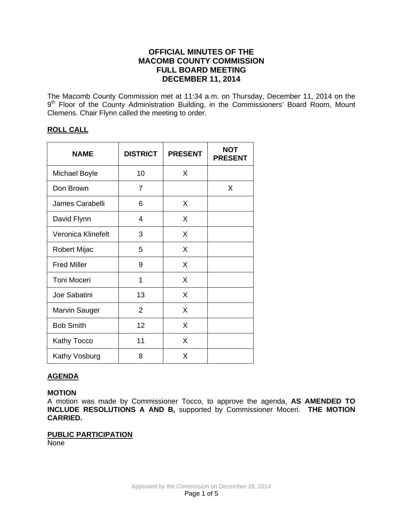# **OFFICIAL MINUTES OF THE MACOMB COUNTY COMMISSION FULL BOARD MEETING DECEMBER 11, 2014**

The Macomb County Commission met at 11:34 a.m. on Thursday, December 11, 2014 on the 9<sup>th</sup> Floor of the County Administration Building, in the Commissioners' Board Room, Mount Clemens. Chair Flynn called the meeting to order.

# **ROLL CALL**

| <b>NAME</b>          | <b>DISTRICT</b> | <b>PRESENT</b> | <b>NOT</b><br><b>PRESENT</b> |
|----------------------|-----------------|----------------|------------------------------|
| <b>Michael Boyle</b> | 10              | X              |                              |
| Don Brown            | $\overline{7}$  |                | X                            |
| James Carabelli      | 6               | X              |                              |
| David Flynn          | 4               | X              |                              |
| Veronica Klinefelt   | 3               | X              |                              |
| Robert Mijac         | 5               | X              |                              |
| <b>Fred Miller</b>   | 9               | X              |                              |
| <b>Toni Moceri</b>   | 1               | X              |                              |
| Joe Sabatini         | 13              | X              |                              |
| Marvin Sauger        | $\overline{2}$  | X              |                              |
| <b>Bob Smith</b>     | 12              | X              |                              |
| Kathy Tocco          | 11              | X              |                              |
| Kathy Vosburg        | 8               | X              |                              |

# **AGENDA**

# **MOTION**

A motion was made by Commissioner Tocco, to approve the agenda, **AS AMENDED TO INCLUDE RESOLUTIONS A AND B,** supported by Commissioner Moceri. **THE MOTION CARRIED.** 

# **PUBLIC PARTICIPATION**

None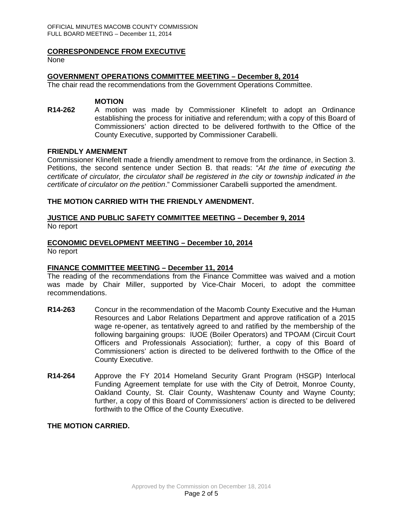#### **CORRESPONDENCE FROM EXECUTIVE**

None

# **GOVERNMENT OPERATIONS COMMITTEE MEETING – December 8, 2014**

The chair read the recommendations from the Government Operations Committee.

#### **MOTION**

**R14-262** A motion was made by Commissioner Klinefelt to adopt an Ordinance establishing the process for initiative and referendum; with a copy of this Board of Commissioners' action directed to be delivered forthwith to the Office of the County Executive, supported by Commissioner Carabelli.

#### **FRIENDLY AMENMENT**

Commissioner Klinefelt made a friendly amendment to remove from the ordinance, in Section 3. Petitions, the second sentence under Section B. that reads: "*At the time of executing the certificate of circulator, the circulator shall be registered in the city or township indicated in the certificate of circulator on the petition*." Commissioner Carabelli supported the amendment.

#### **THE MOTION CARRIED WITH THE FRIENDLY AMENDMENT.**

# **JUSTICE AND PUBLIC SAFETY COMMITTEE MEETING – December 9, 2014**

No report

# **ECONOMIC DEVELOPMENT MEETING – December 10, 2014**

No report

# **FINANCE COMMITTEE MEETING – December 11, 2014**

The reading of the recommendations from the Finance Committee was waived and a motion was made by Chair Miller, supported by Vice-Chair Moceri, to adopt the committee recommendations.

- **R14-263** Concur in the recommendation of the Macomb County Executive and the Human Resources and Labor Relations Department and approve ratification of a 2015 wage re-opener, as tentatively agreed to and ratified by the membership of the following bargaining groups: IUOE (Boiler Operators) and TPOAM (Circuit Court Officers and Professionals Association); further, a copy of this Board of Commissioners' action is directed to be delivered forthwith to the Office of the County Executive.
- **R14-264** Approve the FY 2014 Homeland Security Grant Program (HSGP) Interlocal Funding Agreement template for use with the City of Detroit, Monroe County, Oakland County, St. Clair County, Washtenaw County and Wayne County; further, a copy of this Board of Commissioners' action is directed to be delivered forthwith to the Office of the County Executive.

#### **THE MOTION CARRIED.**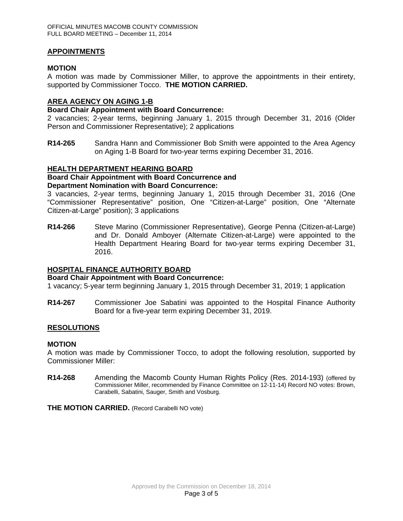# **APPOINTMENTS**

## **MOTION**

A motion was made by Commissioner Miller, to approve the appointments in their entirety, supported by Commissioner Tocco. **THE MOTION CARRIED.** 

## **AREA AGENCY ON AGING 1-B**

#### **Board Chair Appointment with Board Concurrence:**

2 vacancies; 2-year terms, beginning January 1, 2015 through December 31, 2016 (Older Person and Commissioner Representative); 2 applications

**R14-265** Sandra Hann and Commissioner Bob Smith were appointed to the Area Agency on Aging 1-B Board for two-year terms expiring December 31, 2016.

#### **HEALTH DEPARTMENT HEARING BOARD**

#### **Board Chair Appointment with Board Concurrence and Department Nomination with Board Concurrence:**

3 vacancies, 2-year terms, beginning January 1, 2015 through December 31, 2016 (One "Commissioner Representative" position, One "Citizen-at-Large" position, One "Alternate Citizen-at-Large" position); 3 applications

**R14-266** Steve Marino (Commissioner Representative), George Penna (Citizen-at-Large) and Dr. Donald Amboyer (Alternate Citizen-at-Large) were appointed to the Health Department Hearing Board for two-year terms expiring December 31, 2016.

#### **HOSPITAL FINANCE AUTHORITY BOARD**

#### **Board Chair Appointment with Board Concurrence:**

1 vacancy; 5-year term beginning January 1, 2015 through December 31, 2019; 1 application

**R14-267** Commissioner Joe Sabatini was appointed to the Hospital Finance Authority Board for a five-year term expiring December 31, 2019.

#### **RESOLUTIONS**

#### **MOTION**

A motion was made by Commissioner Tocco, to adopt the following resolution, supported by Commissioner Miller:

**R14-268** Amending the Macomb County Human Rights Policy (Res. 2014-193) (offered by Commissioner Miller, recommended by Finance Committee on 12-11-14) Record NO votes: Brown, Carabelli, Sabatini, Sauger, Smith and Vosburg.

**THE MOTION CARRIED.** (Record Carabelli NO vote)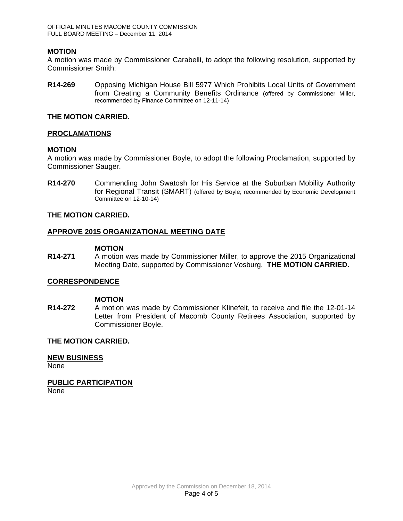# **MOTION**

A motion was made by Commissioner Carabelli, to adopt the following resolution, supported by Commissioner Smith:

**R14-269** Opposing Michigan House Bill 5977 Which Prohibits Local Units of Government from Creating a Community Benefits Ordinance (offered by Commissioner Miller, recommended by Finance Committee on 12-11-14)

# **THE MOTION CARRIED.**

# **PROCLAMATIONS**

# **MOTION**

A motion was made by Commissioner Boyle, to adopt the following Proclamation, supported by Commissioner Sauger.

**R14-270** Commending John Swatosh for His Service at the Suburban Mobility Authority for Regional Transit (SMART) (offered by Boyle; recommended by Economic Development Committee on 12-10-14)

# **THE MOTION CARRIED.**

#### **APPROVE 2015 ORGANIZATIONAL MEETING DATE**

#### **MOTION**

**R14-271** A motion was made by Commissioner Miller, to approve the 2015 Organizational Meeting Date, supported by Commissioner Vosburg. **THE MOTION CARRIED.**

#### **CORRESPONDENCE**

#### **MOTION**

**R14-272** A motion was made by Commissioner Klinefelt, to receive and file the 12-01-14 Letter from President of Macomb County Retirees Association, supported by Commissioner Boyle.

# **THE MOTION CARRIED.**

**NEW BUSINESS** None

**PUBLIC PARTICIPATION** None